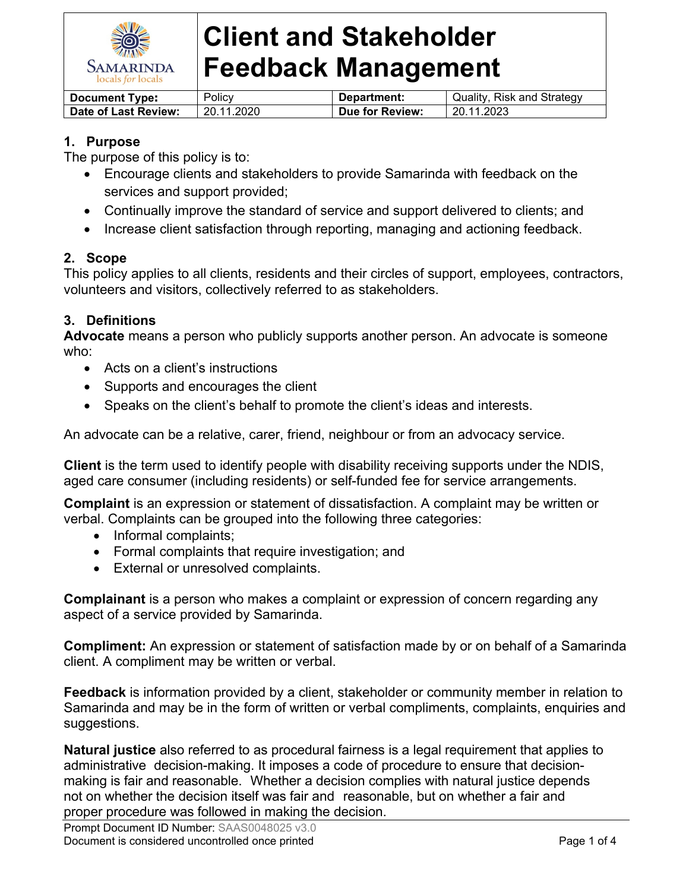

| <b>Document Type:</b> | Policv     | Department:     | Quality, Risk and Strategy |
|-----------------------|------------|-----------------|----------------------------|
| Date of Last Review:  | 20.11.2020 | Due for Review: | 20.11.2023                 |

## **1. Purpose**

The purpose of this policy is to:

- Encourage clients and stakeholders to provide Samarinda with feedback on the services and support provided;
- Continually improve the standard of service and support delivered to clients; and
- Increase client satisfaction through reporting, managing and actioning feedback.

## **2. Scope**

This policy applies to all clients, residents and their circles of support, employees, contractors, volunteers and visitors, collectively referred to as stakeholders.

## **3. Definitions**

**Advocate** means a person who publicly supports another person. An advocate is someone who:

- Acts on a client's instructions
- Supports and encourages the client
- Speaks on the client's behalf to promote the client's ideas and interests.

An advocate can be a relative, carer, friend, neighbour or from an advocacy service.

**Client** is the term used to identify people with disability receiving supports under the NDIS, aged care consumer (including residents) or self-funded fee for service arrangements.

**Complaint** is an expression or statement of dissatisfaction. A complaint may be written or verbal. Complaints can be grouped into the following three categories:

- Informal complaints;
- Formal complaints that require investigation; and
- External or unresolved complaints.

**Complainant** is a person who makes a complaint or expression of concern regarding any aspect of a service provided by Samarinda.

**Compliment:** An expression or statement of satisfaction made by or on behalf of a Samarinda client. A compliment may be written or verbal.

**Feedback** is information provided by a client, stakeholder or community member in relation to Samarinda and may be in the form of written or verbal compliments, complaints, enquiries and suggestions.

**Natural justice** also referred to as procedural fairness is a legal requirement that applies to administrative decision-making. It imposes a code of procedure to ensure that decisionmaking is fair and reasonable. Whether a decision complies with natural justice depends not on whether the decision itself was fair and reasonable, but on whether a fair and proper procedure was followed in making the decision.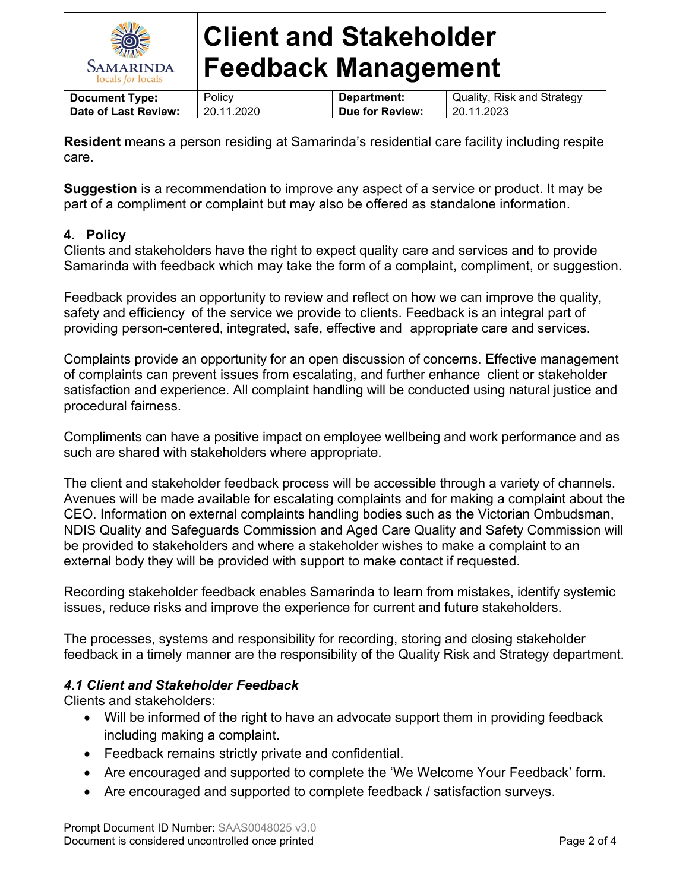

| <b>Document Type:</b> | Policy     | Department:     | Quality, Risk and Strategy |
|-----------------------|------------|-----------------|----------------------------|
| Date of Last Review:  | 20.11.2020 | Due for Review: | 20.11.2023                 |
|                       |            |                 |                            |

**Resident** means a person residing at Samarinda's residential care facility including respite care.

**Suggestion** is a recommendation to improve any aspect of a service or product. It may be part of a compliment or complaint but may also be offered as standalone information.

## **4. Policy**

Clients and stakeholders have the right to expect quality care and services and to provide Samarinda with feedback which may take the form of a complaint, compliment, or suggestion.

Feedback provides an opportunity to review and reflect on how we can improve the quality, safety and efficiency of the service we provide to clients. Feedback is an integral part of providing person-centered, integrated, safe, effective and appropriate care and services.

Complaints provide an opportunity for an open discussion of concerns. Effective management of complaints can prevent issues from escalating, and further enhance client or stakeholder satisfaction and experience. All complaint handling will be conducted using natural justice and procedural fairness.

Compliments can have a positive impact on employee wellbeing and work performance and as such are shared with stakeholders where appropriate.

The client and stakeholder feedback process will be accessible through a variety of channels. Avenues will be made available for escalating complaints and for making a complaint about the CEO. Information on external complaints handling bodies such as the Victorian Ombudsman, NDIS Quality and Safeguards Commission and Aged Care Quality and Safety Commission will be provided to stakeholders and where a stakeholder wishes to make a complaint to an external body they will be provided with support to make contact if requested.

Recording stakeholder feedback enables Samarinda to learn from mistakes, identify systemic issues, reduce risks and improve the experience for current and future stakeholders.

The processes, systems and responsibility for recording, storing and closing stakeholder feedback in a timely manner are the responsibility of the Quality Risk and Strategy department.

## *4.1 Client and Stakeholder Feedback*

Clients and stakeholders:

- Will be informed of the right to have an advocate support them in providing feedback including making a complaint.
- Feedback remains strictly private and confidential.
- Are encouraged and supported to complete the 'We Welcome Your Feedback' form.
- Are encouraged and supported to complete feedback / satisfaction surveys.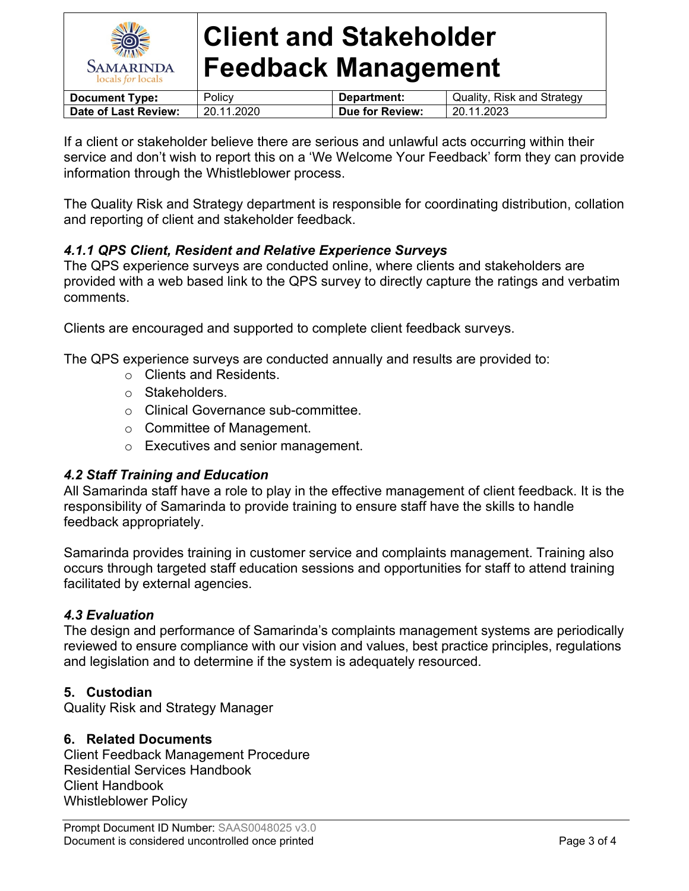

| <b>Document Type:</b> | Policv     | Department:     | Quality, Risk and Strategy |
|-----------------------|------------|-----------------|----------------------------|
| Date of Last Review:  | 20.11.2020 | Due for Review: | 20.11.2023                 |

If a client or stakeholder believe there are serious and unlawful acts occurring within their service and don't wish to report this on a 'We Welcome Your Feedback' form they can provide information through the Whistleblower process.

The Quality Risk and Strategy department is responsible for coordinating distribution, collation and reporting of client and stakeholder feedback.

## *4.1.1 QPS Client, Resident and Relative Experience Surveys*

The QPS experience surveys are conducted online, where clients and stakeholders are provided with a web based link to the QPS survey to directly capture the ratings and verbatim comments.

Clients are encouraged and supported to complete client feedback surveys.

The QPS experience surveys are conducted annually and results are provided to:

- o Clients and Residents.
- o Stakeholders.
- o Clinical Governance sub-committee.
- o Committee of Management.
- o Executives and senior management.

## *4.2 Staff Training and Education*

All Samarinda staff have a role to play in the effective management of client feedback. It is the responsibility of Samarinda to provide training to ensure staff have the skills to handle feedback appropriately.

Samarinda provides training in customer service and complaints management. Training also occurs through targeted staff education sessions and opportunities for staff to attend training facilitated by external agencies.

## *4.3 Evaluation*

The design and performance of Samarinda's complaints management systems are periodically reviewed to ensure compliance with our vision and values, best practice principles, regulations and legislation and to determine if the system is adequately resourced.

## **5. Custodian**

Quality Risk and Strategy Manager

#### **6. Related Documents**

Client Feedback Management Procedure Residential Services Handbook Client Handbook Whistleblower Policy